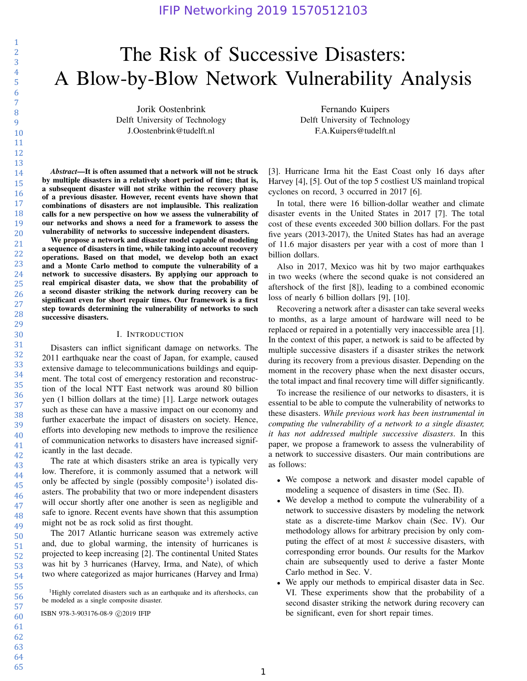# The Risk of Successive Disasters: A Blow-by-Blow Network Vulnerability Analysis

Jorik Oostenbrink Delft University of Technology J.Oostenbrink@tudelft.nl

*Abstract*—It is often assumed that a network will not be struck

by multiple disasters in a relatively short period of time; that is, a subsequent disaster will not strike within the recovery phase of a previous disaster. However, recent events have shown that combinations of disasters are not implausible. This realization calls for a new perspective on how we assess the vulnerability of our networks and shows a need for a framework to assess the vulnerability of networks to successive independent disasters.

We propose a network and disaster model capable of modeling a sequence of disasters in time, while taking into account recovery operations. Based on that model, we develop both an exact and a Monte Carlo method to compute the vulnerability of a network to successive disasters. By applying our approach to real empirical disaster data, we show that the probability of a second disaster striking the network during recovery can be significant even for short repair times. Our framework is a first step towards determining the vulnerability of networks to such successive disasters.

## I. INTRODUCTION

Disasters can inflict significant damage on networks. The 2011 earthquake near the coast of Japan, for example, caused extensive damage to telecommunications buildings and equipment. The total cost of emergency restoration and reconstruction of the local NTT East network was around 80 billion yen (1 billion dollars at the time) [1]. Large network outages such as these can have a massive impact on our economy and further exacerbate the impact of disasters on society. Hence, efforts into developing new methods to improve the resilience of communication networks to disasters have increased significantly in the last decade.

The rate at which disasters strike an area is typically very low. Therefore, it is commonly assumed that a network will only be affected by single (possibly composite<sup>1</sup>) isolated disasters. The probability that two or more independent disasters will occur shortly after one another is seen as negligible and safe to ignore. Recent events have shown that this assumption might not be as rock solid as first thought.

The 2017 Atlantic hurricane season was extremely active and, due to global warming, the intensity of hurricanes is projected to keep increasing [2]. The continental United States was hit by 3 hurricanes (Harvey, Irma, and Nate), of which two where categorized as major hurricanes (Harvey and Irma)

[3]. Hurricane Irma hit the East Coast only 16 days after Harvey [4], [5]. Out of the top 5 costliest US mainland tropical cyclones on record, 3 occurred in 2017 [6].

Fernando Kuipers Delft University of Technology F.A.Kuipers@tudelft.nl

In total, there were 16 billion-dollar weather and climate disaster events in the United States in 2017 [7]. The total cost of these events exceeded 300 billion dollars. For the past five years (2013-2017), the United States has had an average of 11.6 major disasters per year with a cost of more than 1 billion dollars.

Also in 2017, Mexico was hit by two major earthquakes in two weeks (where the second quake is not considered an aftershock of the first [8]), leading to a combined economic loss of nearly 6 billion dollars [9], [10].

Recovering a network after a disaster can take several weeks to months, as a large amount of hardware will need to be replaced or repaired in a potentially very inaccessible area [1]. In the context of this paper, a network is said to be affected by multiple successive disasters if a disaster strikes the network during its recovery from a previous disaster. Depending on the moment in the recovery phase when the next disaster occurs, the total impact and final recovery time will differ significantly.

To increase the resilience of our networks to disasters, it is essential to be able to compute the vulnerability of networks to these disasters. *While previous work has been instrumental in computing the vulnerability of a network to a single disaster, it has not addressed multiple successive disasters*. In this paper, we propose a framework to assess the vulnerability of a network to successive disasters. Our main contributions are as follows:

- We compose a network and disaster model capable of modeling a sequence of disasters in time (Sec. II).
- We develop a method to compute the vulnerability of a network to successive disasters by modeling the network state as a discrete-time Markov chain (Sec. IV). Our methodology allows for arbitrary precision by only computing the effect of at most  $k$  successive disasters, with corresponding error bounds. Our results for the Markov chain are subsequently used to derive a faster Monte Carlo method in Sec. V.
- We apply our methods to empirical disaster data in Sec. VI. These experiments show that the probability of a second disaster striking the network during recovery can ISBN 978-3-903176-08-9 c 2019 IFIP be significant, even for short repair times.

64 65

1 2

<sup>&</sup>lt;sup>1</sup>Highly correlated disasters such as an earthquake and its aftershocks, can be modeled as a single composite disaster.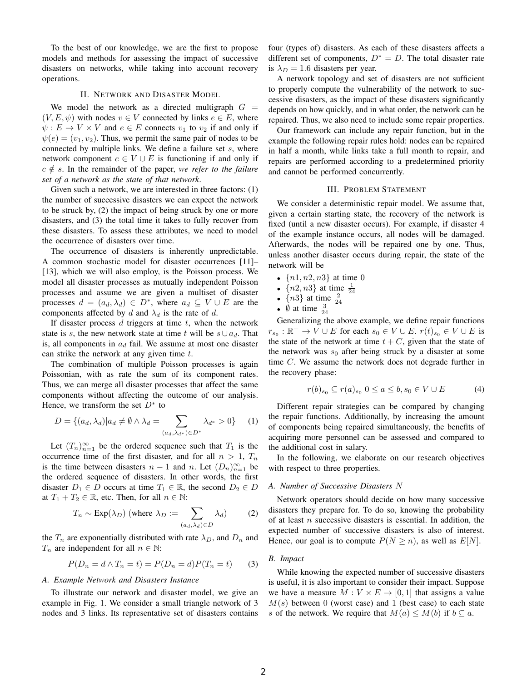To the best of our knowledge, we are the first to propose models and methods for assessing the impact of successive disasters on networks, while taking into account recovery operations.

#### II. NETWORK AND DISASTER MODEL

We model the network as a directed multigraph  $G =$  $(V, E, \psi)$  with nodes  $v \in V$  connected by links  $e \in E$ , where  $\psi: E \to V \times V$  and  $e \in E$  connects  $v_1$  to  $v_2$  if and only if  $\psi(e) = (v_1, v_2)$ . Thus, we permit the same pair of nodes to be connected by multiple links. We define a failure set s, where network component  $c \in V \cup E$  is functioning if and only if  $c \notin s$ . In the remainder of the paper, *we refer to the failure set of a network as the state of that network*.

Given such a network, we are interested in three factors: (1) the number of successive disasters we can expect the network to be struck by, (2) the impact of being struck by one or more disasters, and (3) the total time it takes to fully recover from these disasters. To assess these attributes, we need to model the occurrence of disasters over time.

The occurrence of disasters is inherently unpredictable. A common stochastic model for disaster occurrences [11]– [13], which we will also employ, is the Poisson process. We model all disaster processes as mutually independent Poisson processes and assume we are given a multiset of disaster processes  $d = (a_d, \lambda_d) \in D^*$ , where  $a_d \subseteq V \cup E$  are the components affected by d and  $\lambda_d$  is the rate of d.

If disaster process  $d$  triggers at time  $t$ , when the network state is s, the new network state at time t will be  $s \cup a_d$ . That is, all components in  $a_d$  fail. We assume at most one disaster can strike the network at any given time  $t$ .

The combination of multiple Poisson processes is again Poissonian, with as rate the sum of its component rates. Thus, we can merge all disaster processes that affect the same components without affecting the outcome of our analysis. Hence, we transform the set  $D^*$  to

$$
D = \{(a_d, \lambda_d) | a_d \neq \emptyset \land \lambda_d = \sum_{(a_d, \lambda_{d^*}) \in D^*} \lambda_{d^*} > 0\}
$$
 (1)

Let  $(T_n)_{n=1}^{\infty}$  be the ordered sequence such that  $T_1$  is the occurrence time of the first disaster, and for all  $n > 1$ ,  $T_n$ is the time between disasters  $n-1$  and n. Let  $(D_n)_{n=1}^{\infty}$  be the ordered sequence of disasters. In other words, the first disaster  $D_1 \in D$  occurs at time  $T_1 \in \mathbb{R}$ , the second  $D_2 \in D$ at  $T_1 + T_2 \in \mathbb{R}$ , etc. Then, for all  $n \in \mathbb{N}$ :

$$
T_n \sim \text{Exp}(\lambda_D) \text{ (where } \lambda_D := \sum_{(a_d, \lambda_d) \in D} \lambda_d \text{)} \tag{2}
$$

the  $T_n$  are exponentially distributed with rate  $\lambda_D$ , and  $D_n$  and  $T_n$  are independent for all  $n \in \mathbb{N}$ :

$$
P(D_n = d \wedge T_n = t) = P(D_n = d)P(T_n = t)
$$
 (3)

## *A. Example Network and Disasters Instance*

To illustrate our network and disaster model, we give an example in Fig. 1. We consider a small triangle network of 3 nodes and 3 links. Its representative set of disasters contains four (types of) disasters. As each of these disasters affects a different set of components,  $D^* = D$ . The total disaster rate is  $\lambda_D = 1.6$  disasters per year.

A network topology and set of disasters are not sufficient to properly compute the vulnerability of the network to successive disasters, as the impact of these disasters significantly depends on how quickly, and in what order, the network can be repaired. Thus, we also need to include some repair properties.

Our framework can include any repair function, but in the example the following repair rules hold: nodes can be repaired in half a month, while links take a full month to repair, and repairs are performed according to a predetermined priority and cannot be performed concurrently.

# III. PROBLEM STATEMENT

We consider a deterministic repair model. We assume that, given a certain starting state, the recovery of the network is fixed (until a new disaster occurs). For example, if disaster 4 of the example instance occurs, all nodes will be damaged. Afterwards, the nodes will be repaired one by one. Thus, unless another disaster occurs during repair, the state of the network will be

- ${n1, n2, n3}$  at time 0
- ${n2, n3}$  at time  $\frac{1}{24}$
- $\{n3\}$  at time  $\frac{2}{24}$
- $\emptyset$  at time  $\frac{3}{24}$

Generalizing the above example, we define repair functions  $r_{s_0}: \mathbb{R}^+ \to V \cup E$  for each  $s_0 \in V \cup E$ .  $r(t)_{s_0} \in V \cup E$  is the state of the network at time  $t + C$ , given that the state of the network was  $s_0$  after being struck by a disaster at some time C. We assume the network does not degrade further in the recovery phase:

$$
r(b)_{s_0} \subseteq r(a)_{s_0} \ 0 \le a \le b, s_0 \in V \cup E \tag{4}
$$

Different repair strategies can be compared by changing the repair functions. Additionally, by increasing the amount of components being repaired simultaneously, the benefits of acquiring more personnel can be assessed and compared to the additional cost in salary.

In the following, we elaborate on our research objectives with respect to three properties.

# *A. Number of Successive Disasters* N

Network operators should decide on how many successive disasters they prepare for. To do so, knowing the probability of at least  $n$  successive disasters is essential. In addition, the expected number of successive disasters is also of interest. Hence, our goal is to compute  $P(N \ge n)$ , as well as  $E[N]$ .

## *B. Impact*

While knowing the expected number of successive disasters is useful, it is also important to consider their impact. Suppose we have a measure  $M: V \times E \rightarrow [0, 1]$  that assigns a value  $M(s)$  between 0 (worst case) and 1 (best case) to each state s of the network. We require that  $M(a) \leq M(b)$  if  $b \subseteq a$ .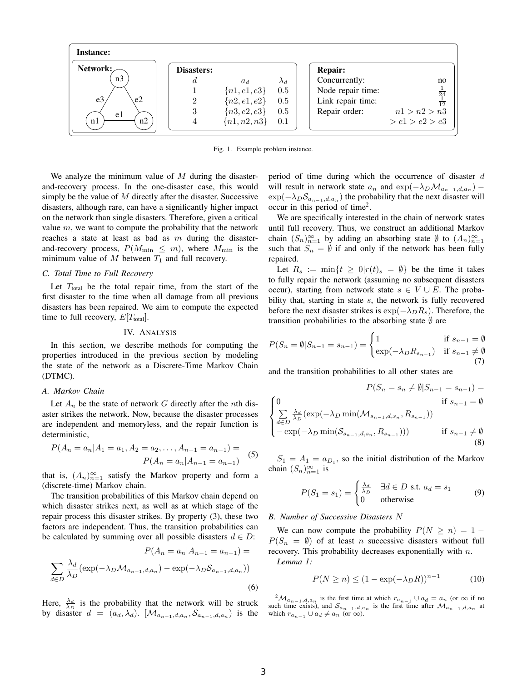

Fig. 1. Example problem instance.

We analyze the minimum value of  $M$  during the disasterand-recovery process. In the one-disaster case, this would simply be the value of  $M$  directly after the disaster. Successive disasters, although rare, can have a significantly higher impact on the network than single disasters. Therefore, given a critical value  $m$ , we want to compute the probability that the network reaches a state at least as bad as  $m$  during the disasterand-recovery process,  $P(M_{\text{min}} \leq m)$ , where  $M_{\text{min}}$  is the minimum value of M between  $T_1$  and full recovery.

#### *C. Total Time to Full Recovery*

Let  $T_{total}$  be the total repair time, from the start of the first disaster to the time when all damage from all previous disasters has been repaired. We aim to compute the expected time to full recovery,  $E[T_{total}]$ .

## IV. ANALYSIS

In this section, we describe methods for computing the properties introduced in the previous section by modeling the state of the network as a Discrete-Time Markov Chain (DTMC).

# *A. Markov Chain*

Let  $A_n$  be the state of network G directly after the nth disaster strikes the network. Now, because the disaster processes are independent and memoryless, and the repair function is deterministic,

$$
P(A_n = a_n | A_1 = a_1, A_2 = a_2, \dots, A_{n-1} = a_{n-1}) =
$$
  

$$
P(A_n = a_n | A_{n-1} = a_{n-1})
$$
 (5)

that is,  $(A_n)_{n=1}^{\infty}$  satisfy the Markov property and form a (discrete-time) Markov chain.

The transition probabilities of this Markov chain depend on which disaster strikes next, as well as at which stage of the repair process this disaster strikes. By property (3), these two factors are independent. Thus, the transition probabilities can be calculated by summing over all possible disasters  $d \in D$ :

$$
P(A_n = a_n | A_{n-1} = a_{n-1}) =
$$
  

$$
\sum_{d \in D} \frac{\lambda_d}{\lambda_D} (\exp(-\lambda_D \mathcal{M}_{a_{n-1}, d, a_n}) - \exp(-\lambda_D \mathcal{S}_{a_{n-1}, d, a_n}))
$$
  
(6)

Here,  $\frac{\lambda_d}{\lambda_D}$  is the probability that the network will be struck by disaster  $d = (a_d, \lambda_d)$ . [ $\mathcal{M}_{a_{n-1},d,a_n}, \mathcal{S}_{a_{n-1},d,a_n}$ ) is the period of time during which the occurrence of disaster d will result in network state  $a_n$  and  $\exp(-\lambda_D \mathcal{M}_{a_{n-1},d,a_n})$  –  $\exp(-\lambda_D \mathcal{S}_{a_{n-1},d,a_n})$  the probability that the next disaster will occur in this period of time<sup>2</sup>.

We are specifically interested in the chain of network states until full recovery. Thus, we construct an additional Markov chain  $(S_n)_{n=1}^{\infty}$  by adding an absorbing state  $\emptyset$  to  $(A_n)_{n=1}^{\infty}$ such that  $S_n = \emptyset$  if and only if the network has been fully repaired.

Let  $R_s := \min\{t \geq 0 | r(t)_{s} = \emptyset\}$  be the time it takes to fully repair the network (assuming no subsequent disasters occur), starting from network state  $s \in V \cup E$ . The probability that, starting in state s, the network is fully recovered before the next disaster strikes is  $\exp(-\lambda_D R_s)$ . Therefore, the transition probabilities to the absorbing state  $\emptyset$  are

$$
P(S_n = \emptyset | S_{n-1} = s_{n-1}) = \begin{cases} 1 & \text{if } s_{n-1} = \emptyset \\ \exp(-\lambda_D R_{s_{n-1}}) & \text{if } s_{n-1} \neq \emptyset \end{cases}
$$
(7)

and the transition probabilities to all other states are

$$
P(S_n = s_n \neq \emptyset | S_{n-1} = s_{n-1}) =
$$
  
\n
$$
\begin{cases}\n0 & \text{if } s_{n-1} = \emptyset \\
\sum_{d \in D} \frac{\lambda_d}{\lambda_D} (\exp(-\lambda_D \min(\mathcal{M}_{s_{n-1}, d, s_n}, R_{s_{n-1}}))) \\
-\exp(-\lambda_D \min(\mathcal{S}_{s_{n-1}, d, s_n}, R_{s_{n-1}}))) & \text{if } s_{n-1} \neq \emptyset\n\end{cases}
$$
\n(8)

 $S_1 = A_1 = a_{D_1}$ , so the initial distribution of the Markov chain  $(S_n)_{n=1}^{\infty}$  is

$$
P(S_1 = s_1) = \begin{cases} \frac{\lambda_d}{\lambda_D} & \exists d \in D \text{ s.t. } a_d = s_1 \\ 0 & \text{otherwise} \end{cases}
$$
 (9)

#### *B. Number of Successive Disasters* N

We can now compute the probability  $P(N \ge n) = 1 P(S_n = \emptyset)$  of at least *n* successive disasters without full recovery. This probability decreases exponentially with n. *Lemma 1:*

> $P(N > n) \leq (1 - \exp(-\lambda_D R))^{n-1}$ (10)

 $^{2}M_{a_{n-1},d,a_n}$  is the first time at which  $r_{a_{n-1}} \cup a_d = a_n$  (or  $\infty$  if no such time exists), and  $S_{a_{n-1},d,a_n}$  is the first time after  $\mathcal{M}_{a_{n-1},d,a_n}$  at which  $r_{a_{n-1}} \cup a_d \neq a_n$  (or  $\infty$ ).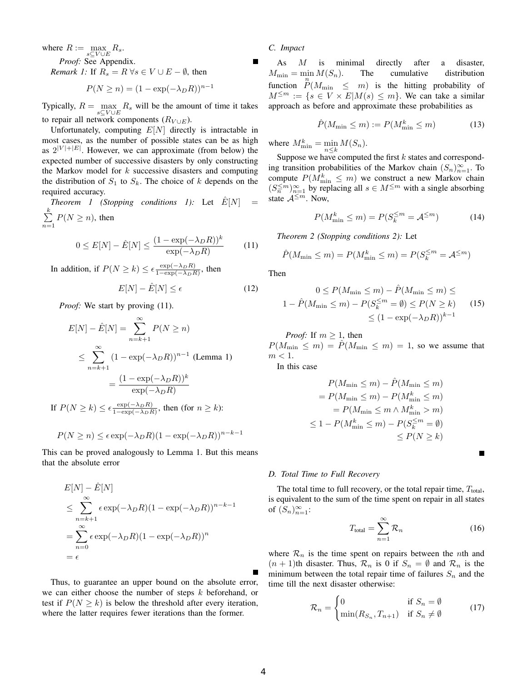where  $R := \max_{s \subseteq V \cup E} R_s$ . *Proof:* See Appendix. *Remark 1:* If  $R_s = R \,\forall s \in V \cup E - \emptyset$ , then

$$
P(N \ge n) = (1 - \exp(-\lambda_D R))^{n-1}
$$

Typically,  $R = \max_{s \in V \cup E} R_s$  will be the amount of time it takes to repair all network components  $(R_{V \cup E})$ .

Unfortunately, computing  $E[N]$  directly is intractable in most cases, as the number of possible states can be as high as  $2^{|V|+|E|}$ . However, we can approximate (from below) the expected number of successive disasters by only constructing the Markov model for  $k$  successive disasters and computing the distribution of  $S_1$  to  $S_k$ . The choice of k depends on the required accuracy.

*Theorem 1 (Stopping conditions 1):* Let  $E[N]$  $\sum_{i=1}^{k}$  $\sum_{n=1} P(N \geq n)$ , then

$$
0 \le E[N] - \hat{E}[N] \le \frac{(1 - \exp(-\lambda_D R))^k}{\exp(-\lambda_D R)}
$$
(11)

In addition, if  $P(N \ge k) \le \epsilon \frac{\exp(-\lambda_D R)}{1 - \exp(-\lambda_D R)}$  $\frac{\exp(-\lambda_D R)}{1-\exp(-\lambda_D R)}$ , then

$$
E[N] - \hat{E}[N] \le \epsilon \tag{12}
$$

*Proof:* We start by proving (11).

$$
E[N] - \hat{E}[N] = \sum_{n=k+1}^{\infty} P(N \ge n)
$$
  
\n
$$
\le \sum_{n=k+1}^{\infty} (1 - \exp(-\lambda_D R))^{n-1}
$$
 (Lemma 1)  
\n
$$
= \frac{(1 - \exp(-\lambda_D R))^k}{\exp(-\lambda_D R)}
$$
  
\nIf  $P(N \ge k) \le \epsilon \frac{\exp(-\lambda_D R)}{1 - \exp(-\lambda_D R)}$ , then (for  $n \ge k$ ):

 $P(N \geq n) \leq \epsilon \exp(-\lambda_D R)(1 - \exp(-\lambda_D R))^{n-k-1}$ 

This can be proved analogously to Lemma 1. But this means that the absolute error

$$
E[N] - \hat{E}[N]
$$
  
\n
$$
\leq \sum_{n=k+1}^{\infty} \epsilon \exp(-\lambda_D R)(1 - \exp(-\lambda_D R))^{n-k-1}
$$
  
\n
$$
= \sum_{n=0}^{\infty} \epsilon \exp(-\lambda_D R)(1 - \exp(-\lambda_D R))^n
$$
  
\n
$$
= \epsilon
$$

Thus, to guarantee an upper bound on the absolute error, we can either choose the number of steps  $k$  beforehand, or test if  $P(N > k)$  is below the threshold after every iteration, where the latter requires fewer iterations than the former.

# *C. Impact*

As M is minimal directly after a disaster,  $M_{\min} = \min M(S_n).$ function  $\sum_{m=1}^{n}$   $\binom{n}{m}$   $\leq$   $m$ ) is the hitting probability of The cumulative distribution  $M^{\leq m} := \{ s \in V \times E | M(s) \leq m \}.$  We can take a similar approach as before and approximate these probabilities as

$$
\hat{P}(M_{\min} \le m) := P(M_{\min}^k \le m)
$$
\n(13)

where  $M_{\min}^k = \min_{n \leq k} M(S_n)$ .

Suppose we have computed the first  $k$  states and corresponding transition probabilities of the Markov chain  $(S_n)_{n=1}^{\infty}$ . To compute  $P(M_{\min}^k \leq m)$  we construct a new Markov chain  $(S_n^{\leq m})_{n=1}^{\infty}$  by replacing all  $s \in M^{\leq m}$  with a single absorbing state  $A^{\leq m}$ . Now,

$$
P(M_{\min}^k \le m) = P(S_k^{\le m} = \mathcal{A}^{\le m})
$$
 (14)

*Theorem 2 (Stopping conditions 2):* Let

$$
\hat{P}(M_{\min} \le m) = P(M_{\min}^k \le m) = P(S_k^{\le m} = \mathcal{A}^{\le m})
$$

Then

$$
0 \le P(M_{\min} \le m) - \hat{P}(M_{\min} \le m) \le
$$
  

$$
1 - \hat{P}(M_{\min} \le m) - P(S_k^{\le m} = \emptyset) \le P(N \ge k)
$$
  

$$
\le (1 - \exp(-\lambda_D R))^{k-1}
$$
 (15)

*Proof:* If  $m \geq 1$ , then

 $P(M_{\min} \leq m) = \hat{P}(M_{\min} \leq m) = 1$ , so we assume that  $m < 1$ .

In this case

$$
P(M_{\min} \le m) - \hat{P}(M_{\min} \le m)
$$
  
=  $P(M_{\min} \le m) - P(M_{\min}^k \le m)$   
=  $P(M_{\min} \le m \land M_{\min}^k > m)$   
 $\le 1 - P(M_{\min}^k \le m) - P(S_k^{\le m} = \emptyset)$   
 $\le P(N \ge k)$ 

*D. Total Time to Full Recovery*

The total time to full recovery, or the total repair time,  $T_{total}$ , is equivalent to the sum of the time spent on repair in all states of  $(S_n)_{n=1}^{\infty}$ :

$$
T_{\text{total}} = \sum_{n=1}^{\infty} \mathcal{R}_n \tag{16}
$$

П

where  $\mathcal{R}_n$  is the time spent on repairs between the *n*th and  $(n + 1)$ th disaster. Thus,  $\mathcal{R}_n$  is 0 if  $S_n = \emptyset$  and  $\mathcal{R}_n$  is the minimum between the total repair time of failures  $S_n$  and the time till the next disaster otherwise:

$$
\mathcal{R}_n = \begin{cases} 0 & \text{if } S_n = \emptyset \\ \min(R_{S_n}, T_{n+1}) & \text{if } S_n \neq \emptyset \end{cases}
$$
 (17)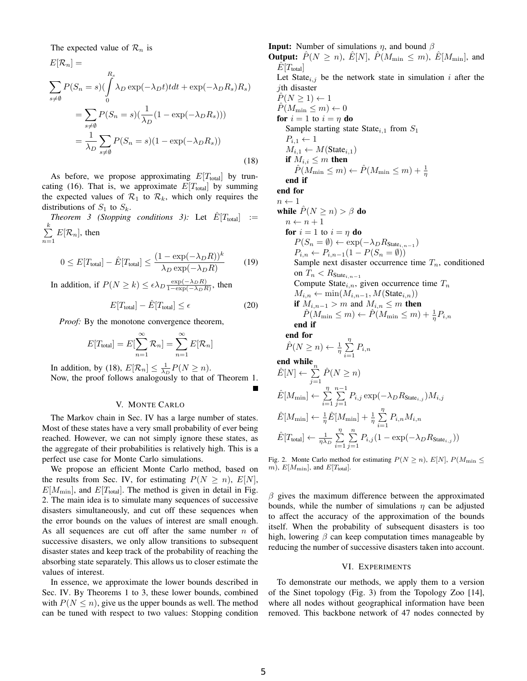The expected value of  $\mathcal{R}_n$  is

$$
E[\mathcal{R}_n] =
$$
  
\n
$$
\sum_{s \neq \emptyset} P(S_n = s) (\int_0^{R_s} \lambda_D \exp(-\lambda_D t) t dt + \exp(-\lambda_D R_s) R_s)
$$
  
\n
$$
= \sum_{s \neq \emptyset} P(S_n = s) (\frac{1}{\lambda_D} (1 - \exp(-\lambda_D R_s)))
$$
  
\n
$$
= \frac{1}{\lambda_D} \sum_{s \neq \emptyset} P(S_n = s) (1 - \exp(-\lambda_D R_s))
$$
\n(18)

As before, we propose approximating  $E[T_{total}]$  by truncating (16). That is, we approximate  $E[T_{total}]$  by summing the expected values of  $\mathcal{R}_1$  to  $\mathcal{R}_k$ , which only requires the distributions of  $S_1$  to  $S_k$ .

*Theorem 3 (Stopping conditions 3):* Let  $\hat{E}[T_{total}]$  :=  $\sum_{i=1}^{k}$  $\sum_{n=1} E[\mathcal{R}_n]$ , then

$$
0 \le E[T_{\text{total}}] - \hat{E}[T_{\text{total}}] \le \frac{(1 - \exp(-\lambda_D R))^k}{\lambda_D \exp(-\lambda_D R)}
$$
(19)

In addition, if  $P(N \ge k) \le \epsilon \lambda_D \frac{\exp(-\lambda_D R)}{1 - \exp(-\lambda_D R)}$  $\frac{\exp(-\lambda_D R)}{1-\exp(-\lambda_D R)}$ , then

$$
E[T_{\text{total}}] - \hat{E}[T_{\text{total}}] \le \epsilon \tag{20}
$$

*Proof:* By the monotone convergence theorem,

$$
E[T_{\text{total}}] = E[\sum_{n=1}^{\infty} \mathcal{R}_n] = \sum_{n=1}^{\infty} E[\mathcal{R}_n]
$$

In addition, by (18),  $E[\mathcal{R}_n] \leq \frac{1}{\lambda_D} P(N \geq n)$ . Now, the proof follows analogously to that of Theorem 1.

## V. MONTE CARLO

The Markov chain in Sec. IV has a large number of states. Most of these states have a very small probability of ever being reached. However, we can not simply ignore these states, as the aggregate of their probabilities is relatively high. This is a perfect use case for Monte Carlo simulations.

We propose an efficient Monte Carlo method, based on the results from Sec. IV, for estimating  $P(N \ge n)$ ,  $E[N]$ ,  $E[M_{\text{min}}]$ , and  $E[T_{\text{total}}]$ . The method is given in detail in Fig. 2. The main idea is to simulate many sequences of successive disasters simultaneously, and cut off these sequences when the error bounds on the values of interest are small enough. As all sequences are cut off after the same number  $n$  of successive disasters, we only allow transitions to subsequent disaster states and keep track of the probability of reaching the absorbing state separately. This allows us to closer estimate the values of interest.

In essence, we approximate the lower bounds described in Sec. IV. By Theorems 1 to 3, these lower bounds, combined with  $P(N \leq n)$ , give us the upper bounds as well. The method can be tuned with respect to two values: Stopping condition **Input:** Number of simulations  $\eta$ , and bound  $\beta$ **Output:**  $\hat{P}(N \geq n)$ ,  $\hat{E}[N]$ ,  $\hat{P}(M_{\min} \leq m)$ ,  $\hat{E}[M_{\min}]$ , and  $E[T_{total}]$ Let State $_{i,j}$  be the network state in simulation i after the jth disaster  $\hat{P}(N \geq 1) \leftarrow 1$  $\hat{P}(M_{\min} \leq m) \leftarrow 0$ for  $i = 1$  to  $i = \eta$  do Sample starting state State<sub>i,1</sub> from  $S_1$  $P_{i,1} \leftarrow 1$  $M_{i,1} \leftarrow M(\text{State}_{i,1})$ if  $M_{i,i} \leq m$  then  $\hat{P}(M_{\min} \leq m) \leftarrow \hat{P}(M_{\min} \leq m) + \frac{1}{\eta}$ end if end for  $n \leftarrow 1$ while  $\hat{P}(N \geq n) > \beta$  do  $n \leftarrow n + 1$ for  $i = 1$  to  $i = \eta$  do  $P(S_n = \emptyset) \leftarrow \exp(-\lambda_D R_{\text{State}_{i,n-1}})$  $P_{i,n} \leftarrow P_{i,n-1}(1 - P(S_n = \emptyset))$ Sample next disaster occurrence time  $T_n$ , conditioned on  $T_n < R_{\text{State}_{i,n-1}}$ Compute State<sub>i,n</sub>, given occurrence time  $T_n$  $M_{i,n} \leftarrow \min(M_{i,n-1}, M(\text{State}_{i,n}))$ if  $M_{i,n-1} > m$  and  $M_{i,n} \leq m$  then  $\hat{P}(M_{\min} \leq m) \leftarrow \hat{P}(M_{\min} \leq m) + \frac{1}{\eta}P_{i,n}$ end if end for  $\hat{P}(N \geq n) \leftarrow \frac{1}{\eta} \sum_{n=1}^{\eta}$  $\sum_{i=1} P_{i,n}$ 

П

end while<sub>n</sub>  
\n
$$
\hat{E}[N] \leftarrow \sum_{j=1}^{n} \hat{P}(N \geq n)
$$
\n
$$
\hat{E}[M_{\min}] \leftarrow \sum_{i=1}^{n} \sum_{j=1}^{n-1} P_{i,j} \exp(-\lambda_D R_{\text{State}_{i,j}}) M_{i,j}
$$
\n
$$
\hat{E}[M_{\min}] \leftarrow \frac{1}{\eta} \hat{E}[M_{\min}] + \frac{1}{\eta} \sum_{i=1}^{n} P_{i,n} M_{i,n}
$$
\n
$$
\hat{E}[T_{\text{total}}] \leftarrow \frac{1}{\eta \lambda_D} \sum_{i=1}^{n} \sum_{j=1}^{n} P_{i,j} (1 - \exp(-\lambda_D R_{\text{State}_{i,j}}))
$$

Fig. 2. Monte Carlo method for estimating  $P(N \ge n)$ ,  $E[N]$ ,  $P(M_{\text{min}} \le$  $m$ ),  $E[M_{\text{min}}]$ , and  $E[T_{\text{total}}]$ .

 $\beta$  gives the maximum difference between the approximated bounds, while the number of simulations  $\eta$  can be adjusted to affect the accuracy of the approximation of the bounds itself. When the probability of subsequent disasters is too high, lowering  $\beta$  can keep computation times manageable by reducing the number of successive disasters taken into account.

#### VI. EXPERIMENTS

To demonstrate our methods, we apply them to a version of the Sinet topology (Fig. 3) from the Topology Zoo [14], where all nodes without geographical information have been removed. This backbone network of 47 nodes connected by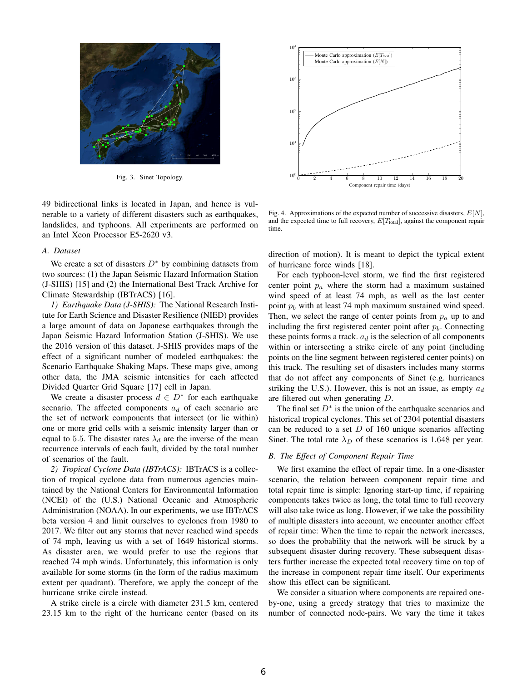

Fig. 3. Sinet Topology.

49 bidirectional links is located in Japan, and hence is vulnerable to a variety of different disasters such as earthquakes, landslides, and typhoons. All experiments are performed on an Intel Xeon Processor E5-2620 v3.

# *A. Dataset*

We create a set of disasters  $D^*$  by combining datasets from two sources: (1) the Japan Seismic Hazard Information Station (J-SHIS) [15] and (2) the International Best Track Archive for Climate Stewardship (IBTrACS) [16].

*1) Earthquake Data (J-SHIS):* The National Research Institute for Earth Science and Disaster Resilience (NIED) provides a large amount of data on Japanese earthquakes through the Japan Seismic Hazard Information Station (J-SHIS). We use the 2016 version of this dataset. J-SHIS provides maps of the effect of a significant number of modeled earthquakes: the Scenario Earthquake Shaking Maps. These maps give, among other data, the JMA seismic intensities for each affected Divided Quarter Grid Square [17] cell in Japan.

We create a disaster process  $d \in D^*$  for each earthquake scenario. The affected components  $a_d$  of each scenario are the set of network components that intersect (or lie within) one or more grid cells with a seismic intensity larger than or equal to 5.5. The disaster rates  $\lambda_d$  are the inverse of the mean recurrence intervals of each fault, divided by the total number of scenarios of the fault.

*2) Tropical Cyclone Data (IBTrACS):* IBTrACS is a collection of tropical cyclone data from numerous agencies maintained by the National Centers for Environmental Information (NCEI) of the (U.S.) National Oceanic and Atmospheric Administration (NOAA). In our experiments, we use IBTrACS beta version 4 and limit ourselves to cyclones from 1980 to 2017. We filter out any storms that never reached wind speeds of 74 mph, leaving us with a set of 1649 historical storms. As disaster area, we would prefer to use the regions that reached 74 mph winds. Unfortunately, this information is only available for some storms (in the form of the radius maximum extent per quadrant). Therefore, we apply the concept of the hurricane strike circle instead.

A strike circle is a circle with diameter 231.5 km, centered 23.15 km to the right of the hurricane center (based on its



Fig. 4. Approximations of the expected number of successive disasters,  $E[N]$ , and the expected time to full recovery,  $E[T_{total}]$ , against the component repair time.

direction of motion). It is meant to depict the typical extent of hurricane force winds [18].

For each typhoon-level storm, we find the first registered center point  $p_a$  where the storm had a maximum sustained wind speed of at least 74 mph, as well as the last center point  $p_b$  with at least 74 mph maximum sustained wind speed. Then, we select the range of center points from  $p_a$  up to and including the first registered center point after  $p_b$ . Connecting these points forms a track.  $a_d$  is the selection of all components within or intersecting a strike circle of any point (including points on the line segment between registered center points) on this track. The resulting set of disasters includes many storms that do not affect any components of Sinet (e.g. hurricanes striking the U.S.). However, this is not an issue, as empty  $a_d$ are filtered out when generating D.

The final set  $D^*$  is the union of the earthquake scenarios and historical tropical cyclones. This set of 2304 potential disasters can be reduced to a set  $D$  of 160 unique scenarios affecting Sinet. The total rate  $\lambda_D$  of these scenarios is 1.648 per year.

## *B. The Effect of Component Repair Time*

We first examine the effect of repair time. In a one-disaster scenario, the relation between component repair time and total repair time is simple: Ignoring start-up time, if repairing components takes twice as long, the total time to full recovery will also take twice as long. However, if we take the possibility of multiple disasters into account, we encounter another effect of repair time: When the time to repair the network increases, so does the probability that the network will be struck by a subsequent disaster during recovery. These subsequent disasters further increase the expected total recovery time on top of the increase in component repair time itself. Our experiments show this effect can be significant.

We consider a situation where components are repaired oneby-one, using a greedy strategy that tries to maximize the number of connected node-pairs. We vary the time it takes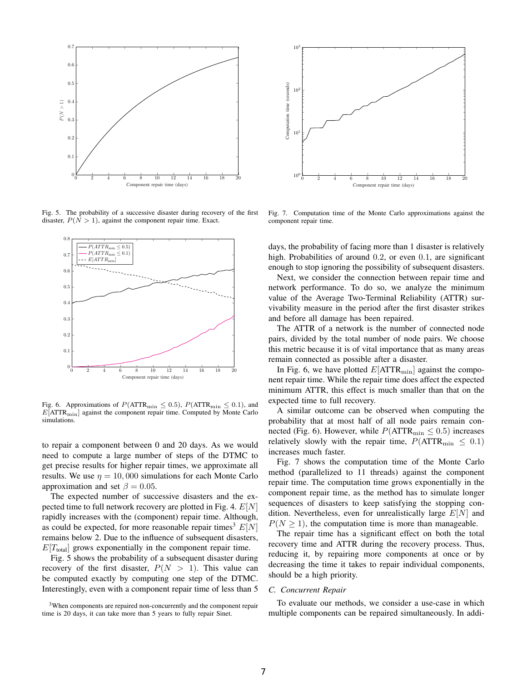

Fig. 5. The probability of a successive disaster during recovery of the first disaster,  $P(N > 1)$ , against the component repair time. Exact.



Fig. 6. Approximations of  $P(\text{ATTR}_{\text{min}} \leq 0.5)$ ,  $P(\text{ATTR}_{\text{min}} \leq 0.1)$ , and  $E[ATTR<sub>min</sub>]$  against the component repair time. Computed by Monte Carlo simulations.

to repair a component between 0 and 20 days. As we would need to compute a large number of steps of the DTMC to get precise results for higher repair times, we approximate all results. We use  $\eta = 10,000$  simulations for each Monte Carlo approximation and set  $\beta = 0.05$ .

The expected number of successive disasters and the expected time to full network recovery are plotted in Fig. 4.  $E[N]$ rapidly increases with the (component) repair time. Although, as could be expected, for more reasonable repair times<sup>3</sup>  $E[N]$ remains below 2. Due to the influence of subsequent disasters,  $E[T<sub>total</sub>]$  grows exponentially in the component repair time.

Fig. 5 shows the probability of a subsequent disaster during recovery of the first disaster,  $P(N > 1)$ . This value can be computed exactly by computing one step of the DTMC. Interestingly, even with a component repair time of less than 5

<sup>3</sup>When components are repaired non-concurrently and the component repair time is 20 days, it can take more than 5 years to fully repair Sinet.



Fig. 7. Computation time of the Monte Carlo approximations against the component repair time.

days, the probability of facing more than 1 disaster is relatively high. Probabilities of around 0.2, or even 0.1, are significant enough to stop ignoring the possibility of subsequent disasters.

Next, we consider the connection between repair time and network performance. To do so, we analyze the minimum value of the Average Two-Terminal Reliability (ATTR) survivability measure in the period after the first disaster strikes and before all damage has been repaired.

The ATTR of a network is the number of connected node pairs, divided by the total number of node pairs. We choose this metric because it is of vital importance that as many areas remain connected as possible after a disaster.

In Fig. 6, we have plotted  $E[ATTR<sub>min</sub>]$  against the component repair time. While the repair time does affect the expected minimum ATTR, this effect is much smaller than that on the expected time to full recovery.

A similar outcome can be observed when computing the probability that at most half of all node pairs remain connected (Fig. 6). However, while  $P(\text{ATTR}_{\text{min}} \leq 0.5)$  increases relatively slowly with the repair time,  $P(\text{ATTR}_{\text{min}} \leq 0.1)$ increases much faster.

Fig. 7 shows the computation time of the Monte Carlo method (parallelized to 11 threads) against the component repair time. The computation time grows exponentially in the component repair time, as the method has to simulate longer sequences of disasters to keep satisfying the stopping condition. Nevertheless, even for unrealistically large  $E[N]$  and  $P(N \geq 1)$ , the computation time is more than manageable.

The repair time has a significant effect on both the total recovery time and ATTR during the recovery process. Thus, reducing it, by repairing more components at once or by decreasing the time it takes to repair individual components, should be a high priority.

## *C. Concurrent Repair*

To evaluate our methods, we consider a use-case in which multiple components can be repaired simultaneously. In addi-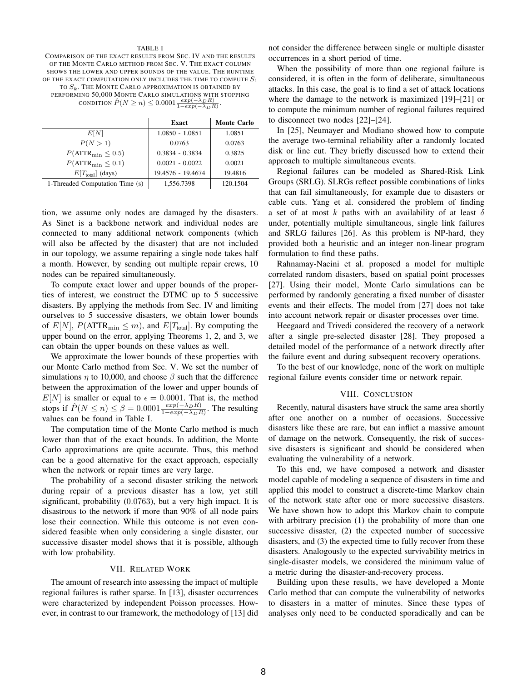#### TABLE I

COMPARISON OF THE EXACT RESULTS FROM SEC. IV AND THE RESULTS OF THE MONTE CARLO METHOD FROM SEC. V. THE EXACT COLUMN SHOWS THE LOWER AND UPPER BOUNDS OF THE VALUE. THE RUNTIME OF THE EXACT COMPUTATION ONLY INCLUDES THE TIME TO COMPUTE  $S_1$ TO  $S_k$ . The MONTE CARLO APPROXIMATION IS OBTAINED BY PERFORMING 50,000 MONTE CARLO SIMULATIONS WITH STOPPING CONDITION  $\hat{P}(N \geq n) \leq 0.0001 \frac{exp(-\lambda_D R)}{1-exp(-\lambda_D R)}$ .

|                                  | <b>Exact</b>      | <b>Monte Carlo</b> |
|----------------------------------|-------------------|--------------------|
| E[N]                             | $1.0850 - 1.0851$ | 1.0851             |
| P(N>1)                           | 0.0763            | 0.0763             |
| $P(\text{ATTR}_{\min} \leq 0.5)$ | $0.3834 - 0.3834$ | 0.3825             |
| $P(\text{ATTR}_{\min} \leq 0.1)$ | $0.0021 - 0.0022$ | 0.0021             |
| $E[T_{total}]$ (days)            | 19.4576 - 19.4674 | 19.4816            |
| 1-Threaded Computation Time (s)  | 1.556.7398        | 120.1504           |

tion, we assume only nodes are damaged by the disasters. As Sinet is a backbone network and individual nodes are connected to many additional network components (which will also be affected by the disaster) that are not included in our topology, we assume repairing a single node takes half a month. However, by sending out multiple repair crews, 10 nodes can be repaired simultaneously.

To compute exact lower and upper bounds of the properties of interest, we construct the DTMC up to 5 successive disasters. By applying the methods from Sec. IV and limiting ourselves to 5 successive disasters, we obtain lower bounds of  $E[N]$ ,  $P(\text{ATTR}_{\text{min}} \leq m)$ , and  $E[T_{\text{total}}]$ . By computing the upper bound on the error, applying Theorems 1, 2, and 3, we can obtain the upper bounds on these values as well.

We approximate the lower bounds of these properties with our Monte Carlo method from Sec. V. We set the number of simulations  $\eta$  to 10,000, and choose  $\beta$  such that the difference between the approximation of the lower and upper bounds of  $E[N]$  is smaller or equal to  $\epsilon = 0.0001$ . That is, the method stops if  $\hat{P}(N \le n) \le \beta = 0.0001 \frac{exp(-\lambda_D R)}{1-exp(-\lambda_D R)}$ . The resulting values can be found in Table I.

The computation time of the Monte Carlo method is much lower than that of the exact bounds. In addition, the Monte Carlo approximations are quite accurate. Thus, this method can be a good alternative for the exact approach, especially when the network or repair times are very large.

The probability of a second disaster striking the network during repair of a previous disaster has a low, yet still significant, probability (0.0763), but a very high impact. It is disastrous to the network if more than 90% of all node pairs lose their connection. While this outcome is not even considered feasible when only considering a single disaster, our successive disaster model shows that it is possible, although with low probability.

#### VII. RELATED WORK

The amount of research into assessing the impact of multiple regional failures is rather sparse. In [13], disaster occurrences were characterized by independent Poisson processes. However, in contrast to our framework, the methodology of [13] did not consider the difference between single or multiple disaster occurrences in a short period of time.

When the possibility of more than one regional failure is considered, it is often in the form of deliberate, simultaneous attacks. In this case, the goal is to find a set of attack locations where the damage to the network is maximized [19]–[21] or to compute the minimum number of regional failures required to disconnect two nodes [22]–[24].

In [25], Neumayer and Modiano showed how to compute the average two-terminal reliability after a randomly located disk or line cut. They briefly discussed how to extend their approach to multiple simultaneous events.

Regional failures can be modeled as Shared-Risk Link Groups (SRLG). SLRGs reflect possible combinations of links that can fail simultaneously, for example due to disasters or cable cuts. Yang et al. considered the problem of finding a set of at most k paths with an availability of at least  $\delta$ under, potentially multiple simultaneous, single link failures and SRLG failures [26]. As this problem is NP-hard, they provided both a heuristic and an integer non-linear program formulation to find these paths.

Rahnamay-Naeini et al. proposed a model for multiple correlated random disasters, based on spatial point processes [27]. Using their model, Monte Carlo simulations can be performed by randomly generating a fixed number of disaster events and their effects. The model from [27] does not take into account network repair or disaster processes over time.

Heegaard and Trivedi considered the recovery of a network after a single pre-selected disaster [28]. They proposed a detailed model of the performance of a network directly after the failure event and during subsequent recovery operations.

To the best of our knowledge, none of the work on multiple regional failure events consider time or network repair.

#### VIII. CONCLUSION

Recently, natural disasters have struck the same area shortly after one another on a number of occasions. Successive disasters like these are rare, but can inflict a massive amount of damage on the network. Consequently, the risk of successive disasters is significant and should be considered when evaluating the vulnerability of a network.

To this end, we have composed a network and disaster model capable of modeling a sequence of disasters in time and applied this model to construct a discrete-time Markov chain of the network state after one or more successive disasters. We have shown how to adopt this Markov chain to compute with arbitrary precision (1) the probability of more than one successive disaster, (2) the expected number of successive disasters, and (3) the expected time to fully recover from these disasters. Analogously to the expected survivability metrics in single-disaster models, we considered the minimum value of a metric during the disaster-and-recovery process.

Building upon these results, we have developed a Monte Carlo method that can compute the vulnerability of networks to disasters in a matter of minutes. Since these types of analyses only need to be conducted sporadically and can be